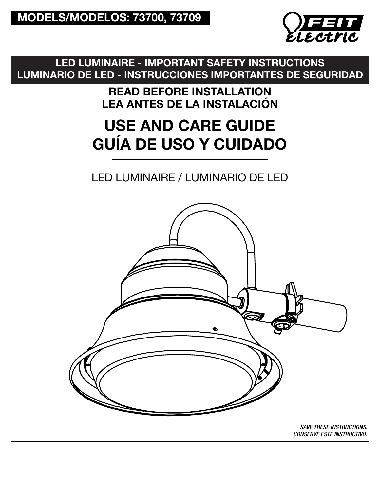

LED LUMINAIRE - IMPORTANT SAFETY INSTRUCTIONS LUMINARIO DE LED - INSTRUCCIONES IMPORTANTES DE SEGURIDAD

> READ BEFORE INSTALLATION LEA ANTES DE LA INSTALACIÓN

# USE AND CARE GUIDE GUÍA DE USO Y CUIDADO

# LED LUMINAIRE / LUMINARIO DE LED



**SAVE THESE INSTRUCTIONS.** *CONSERVE ESTE INSTRUCTIVO.*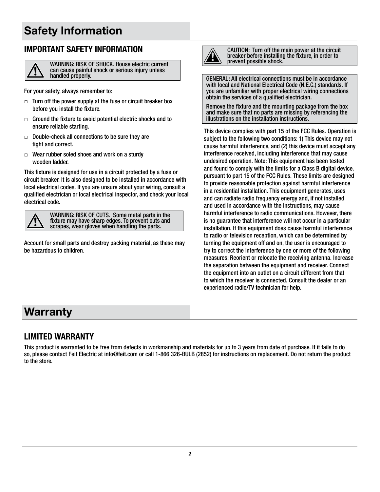# Safety Information

#### **IMPORTANT SAFETY INFORMATION**



WARNING: RISK OF SHOCK. House electric current can cause painful shock or serious injury unless handled properly.

For your safety, always remember to:

- $\Box$  Turn off the power supply at the fuse or circuit breaker box before you install the fixture.
- $\Box$  Ground the fixture to avoid potential electric shocks and to ensure reliable starting.
- □ Double-check all connections to be sure they are tight and correct.
- $\Box$  Wear rubber soled shoes and work on a sturdy wooden ladder.

This fixture is designed for use in a circuit protected by a fuse or circuit breaker. It is also designed to be installed in accordance with local electrical codes. If you are unsure about your wiring, consult a qualified electrician or local electrical inspector, and check your local electrical code.



WARNING: RISK OF CUTS. Some metal parts in the fixture may have sharp edges. To prevent cuts and scrapes, wear gloves when handling the parts.

Account for small parts and destroy packing material, as these may be hazardous to children.



CAUTION: Turn off the main power at the circuit breaker before installing the fixture, in order to prevent possible shock.

GENERAL: All electrical connections must be in accordance with local and National Electrical Code (N.E.C.) standards. If you are unfamiliar with proper electrical wiring connections obtain the services of a qualified electrician.

Remove the fixture and the mounting package from the box and make sure that no parts are missing by referencing the illustrations on the installation instructions.

This device complies with part 15 of the FCC Rules. Operation is subject to the following two conditions: 1) This device may not cause harmful interference, and (2) this device must accept any interference received, including interference that may cause undesired operation. Note: This equipment has been tested and found to comply with the limits for a Class B digital device, pursuant to part 15 of the FCC Rules. These limits are designed to provide reasonable protection against harmful interference in a residential installation. This equipment generates, uses and can radiate radio frequency energy and, if not installed and used in accordance with the instructions, may cause harmful interference to radio communications. However, there is no guarantee that interference will not occur in a particular installation. If this equipment does cause harmful interference to radio or television reception, which can be determined by turning the equipment off and on, the user is encouraged to try to correct the interference by one or more of the following measures: Reorient or relocate the receiving antenna. Increase the separation between the equipment and receiver. Connect the equipment into an outlet on a circuit different from that to which the receiver is connected. Consult the dealer or an experienced radio/TV technician for help.

# **Warranty**

#### **LIMITED WARRANTY**

This product is warranted to be free from defects in workmanship and materials for up to 3 years from date of purchase. If it fails to do so, please contact Feit Electric at info@feit.com or call 1-866 326-BULB (2852) for instructions on replacement. Do not return the product to the store.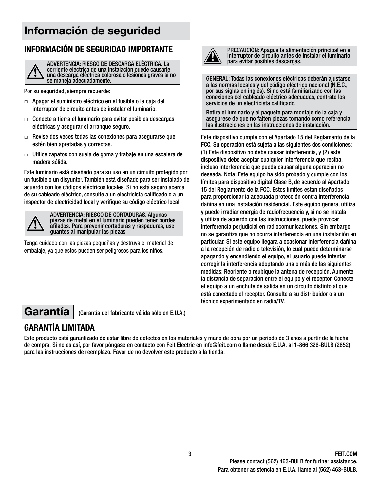# Información de seguridad

#### **INFORMACIÓN DE SEGURIDAD IMPORTANTE**



ADVERTENCIA: RIESGO DE DESCARGA ELÉCTRICA. La corriente eléctrica de una instalación puede causarle una descarga eléctrica dolorosa o lesiones graves si no se maneja adecuadamente.

Por su seguridad, siempre recuerde:

- □ Apagar el suministro eléctrico en el fusible o la caja del interruptor de circuito antes de instalar el luminario.
- $\Box$  Conecte a tierra el luminario para evitar posibles descargas eléctricas y asegurar el arranque seguro.
- □ Revise dos veces todas las conexiones para asegurarse que estén bien apretadas y correctas.
- $\Box$  Utilice zapatos con suela de goma y trabaje en una escalera de madera sólida.

Este luminario está diseñado para su uso en un circuito protegido por un fusible o un disyuntor. También está diseñado para ser instalado de acuerdo con los códigos eléctricos locales. Si no está seguro acerca de su cableado eléctrico, consulte a un electricista calificado o a un inspector de electricidad local y verifique su código eléctrico local.



ADVERTENCIA: RIESGO DE CORTADURAS. Algunas piezas de metal en el luminario pueden tener bordes afilados. Para prevenir cortaduras y raspaduras, use guantes al manipular las piezas

Tenga cuidado con las piezas pequeñas y destruya el material de embalaje, ya que éstos pueden ser peligrosos para los niños.



PRECAUCIÓN: Apague la alimentación principal en el interruptor de circuito antes de instalar el luminario para evitar posibles descargas.

GENERAL: Todas las conexiones eléctricas deberán ajustarse a las normas locales y del código eléctrico nacional (N.E.C., por sus siglas en inglés). Si no está familiarizado con las conexiones del cableado eléctrico adecuadas, contrate los servicios de un electricista calificado.

Retire el luminario y el paquete para montaje de la caja y asegúrese de que no falten piezas tomando como referencia las ilustraciones en las instrucciones de instalación.

Este dispositivo cumple con el Apartado 15 del Reglamento de la FCC. Su operación está sujeta a las siguientes dos condiciones: (1) Este dispositivo no debe causar interferencia, y (2) este dispositivo debe aceptar cualquier interferencia que reciba, incluso interferencia que pueda causar alguna operación no deseada. Nota: Este equipo ha sido probado y cumple con los límites para dispositivo digital Clase B, de acuerdo al Apartado 15 del Reglamento de la FCC. Estos límites están diseñados para proporcionar la adecuada protección contra interferencia dañina en una instalación residencial. Este equipo genera, utiliza y puede irradiar energía de radiofrecuencia y, si no se instala y utiliza de acuerdo con las instrucciones, puede provocar interferencia perjudicial en radiocomunicaciones. Sin embargo, no se garantiza que no ocurra interferencia en una instalación en particular. Si este equipo llegara a ocasionar interferencia dañina a la recepción de radio o televisión, lo cual puede determinarse apagando y encendiendo el equipo, el usuario puede intentar corregir la interferencia adoptando una o más de las siguientes medidas: Reoriente o reubique la antena de recepción. Aumente la distancia de separación entre el equipo y el receptor. Conecte el equipo a un enchufe de salida en un circuito distinto al que está conectado el receptor. Consulte a su distribuidor o a un técnico experimentado en radio/TV.

Garantía | (Garantía del fabricante válida sólo en E.U.A.)

#### **GARANTÍA LIMITADA**

Este producto está garantizado de estar libre de defectos en los materiales y mano de obra por un periodo de 3 años a partir de la fecha de compra. Si no es así, por favor póngase en contacto con Feit Electric en info@feit.com o llame desde E.U.A. al 1-866 326-BULB (2852) para las instrucciones de reemplazo. Favor de no devolver este producto a la tienda.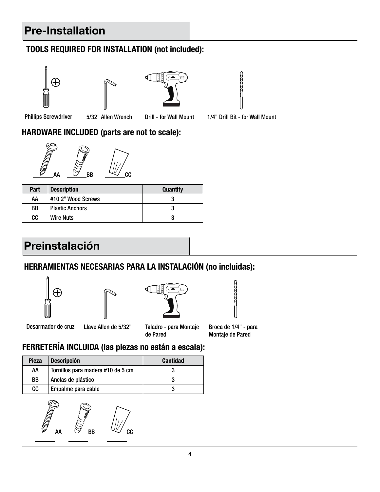# Pre-Installation

#### **TOOLS REQUIRED FOR INSTALLATION (not included):**









Phillips Screwdriver 5/32" Allen Wrench

Drill - for Wall Mount 1/4" Drill Bit - for Wall Mount

#### **HARDWARE INCLUDED (parts are not to scale):**



| <b>Part</b> | <b>Description</b>     | <b>Quantity</b> |
|-------------|------------------------|-----------------|
| AΑ          | #10 2" Wood Screws     |                 |
| BB          | <b>Plastic Anchors</b> |                 |
| CC.         | <b>Wire Nuts</b>       |                 |

# Preinstalación

#### **HERRAMIENTAS NECESARIAS PARA LA INSTALACIÓN (no incluidas):**









Desarmador de cruz Llave Allen de 5/32" Taladro - para Montaje Broca de 1/4" - para

de Pared

Montaje de Pared

# **FERRETERÍA INCLUIDA (las piezas no están a escala):**

| <b>Pieza</b> | <b>Descripción</b>                | <b>Cantidad</b> |
|--------------|-----------------------------------|-----------------|
| AA           | Tornillos para madera #10 de 5 cm |                 |
| BB           | Anclas de plástico                |                 |
| cc           | Empalme para cable                |                 |

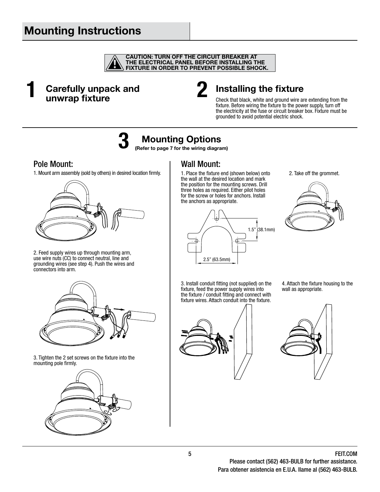# Mounting Instructions



Carefully unpack and unwrap fixture 1 **Carefully unpack and** 2



### Installing the fixture

Check that black, white and ground wire are extending from the fixture. Before wiring the fixture to the power supply, turn off the electricity at the fuse or circuit breaker box. Fixture must be grounded to avoid potential electric shock.

# **3**

# Mounting Options

(Refer to page 7 for the wiring diagram)

#### Pole Mount:

1. Mount arm assembly (sold by others) in desired location firmly.



2. Feed supply wires up through mounting arm, use wire nuts (CC) to connect neutral, line and grounding wires (see step 4). Push the wires and connectors into arm.



3. Tighten the 2 set screws on the fixture into the mounting pole firmly.



#### Wall Mount:

1. Place the fixture end (shown below) onto the wall at the desired location and mark the position for the mounting screws. Drill three holes as required. Either pilot holes for the screw or holes for anchors. Install the anchors as appropriate.



2. Take off the grommet.



3. Install conduit fitting (not supplied) on the fixture, feed the power supply wires into the fixture / conduit fitting and connect with fixture wires. Attach conduit into the fixture.



4. Attach the fixture housing to the wall as appropriate.

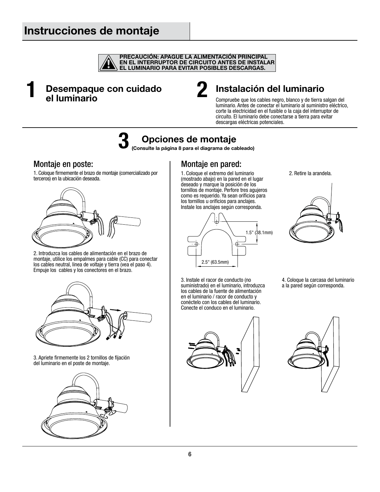## Instrucciones de montaje



#### Desempaque con cuidado el luminario **1** Desempaque con cuidado 2



### Instalación del luminario

Compruebe que los cables negro, blanco y de tierra salgan del luminario. Antes de conectar el luminario al suministro eléctrico, corte la electricidad en el fusible o la caja del interruptor de circuito. El luminario debe conectarse a tierra para evitar descargas eléctricas potenciales.

**3**

# Opciones de montaje

(Consulte la página 8 para el diagrama de cableado)

#### Montaje en poste:

1. Coloque firmemente el brazo de montaje (comercializado por terceros) en la ubicación deseada.



2. Introduzca los cables de alimentación en el brazo de montaje, utilice los empalmes para cable (CC) para conectar los cables neutral, linea de voltaje y tierra (vea el paso 4). Empuje los cables y los conectores en el brazo.



3. Apriete firmemente los 2 tornillos de fijación del luminario en el poste de montaje.



#### Montaje en pared:

1. Coloque el extremo del luminario (mostrado abajo) en la pared en el lugar deseado y marque la posición de los tornillos de montaje. Perfore tres agujeros como es requerido. Ya sean orificios para los tornillos u orificios para anclajes. Instale los anclajes según corresponda.



3. Instale el racor de conducto (no suministrado) en el luminario, introduzca

2. Retire la arandela.

4. Coloque la carcasa del luminario a la pared según corresponda.



los cables de la fuente de alimentación en el luminario / racor de conducto y conéctelo con los cables del luminario. Conecte el conduco en el luminario.

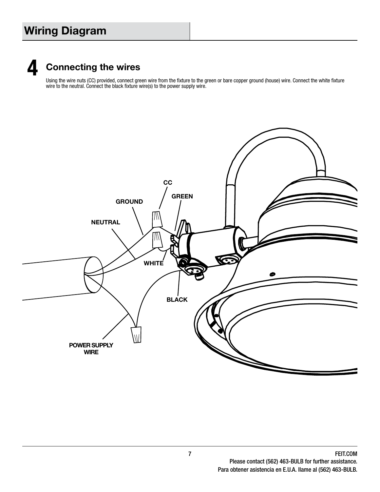# Wiring Diagram



# Connecting the wires

Using the wire nuts (CC) provided, connect green wire from the fixture to the green or bare copper ground (house) wire. Connect the white fixture wire to the neutral. Connect the black fixture wire(s) to the power supply wire.